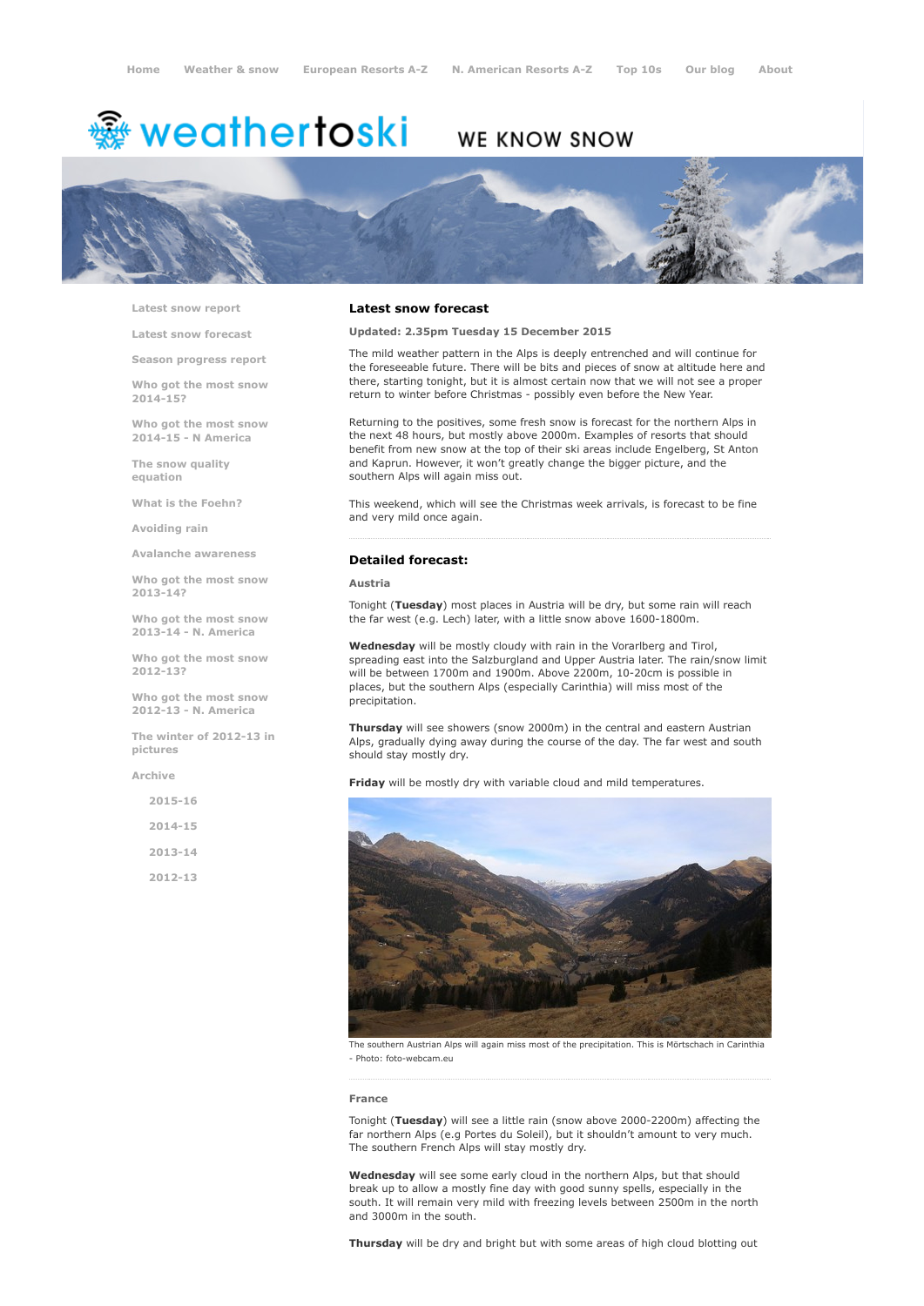# <sup>鑫</sup> weathertoski

# WE KNOW SNOW



Latest snow [report](http://www.weathertoski.co.uk/weather-snow/latest-snow-report/)

Latest snow [forecast](http://www.weathertoski.co.uk/weather-snow/latest-snow-forecast/)

Season [progress](http://www.weathertoski.co.uk/weather-snow/season-progress-report/) report

Who got the most snow 2014-15?

Who got the most snow 2014-15 - N America

The snow quality [equation](http://www.weathertoski.co.uk/weather-snow/the-snow-quality-equation/)

What is the [Foehn?](http://www.weathertoski.co.uk/weather-snow/what-is-the-foehn/)

[Avoiding](http://www.weathertoski.co.uk/weather-snow/avoiding-rain/) rain

Avalanche [awareness](http://www.weathertoski.co.uk/weather-snow/avalanche-awareness/)

Who got the most snow 2013-14?

Who got the most snow 2013-14 - N. America

Who got the most snow 2012-13?

Who got the most snow 2012-13 - N. America

The winter of 2012-13 in pictures

[Archive](http://www.weathertoski.co.uk/weather-snow/archive/)

2015-16 2014-15 2013-14 2012-13

## Latest snow forecast

Updated: 2.35pm Tuesday 15 December 2015

The mild weather pattern in the Alps is deeply entrenched and will continue for the foreseeable future. There will be bits and pieces of snow at altitude here and there, starting tonight, but it is almost certain now that we will not see a proper return to winter before Christmas - possibly even before the New Year.

Returning to the positives, some fresh snow is forecast for the northern Alps in the next 48 hours, but mostly above 2000m. Examples of resorts that should benefit from new snow at the top of their ski areas include Engelberg, St Anton and Kaprun. However, it won't greatly change the bigger picture, and the southern Alps will again miss out.

This weekend, which will see the Christmas week arrivals, is forecast to be fine and very mild once again.

# Detailed forecast:

Austria

Tonight (Tuesday) most places in Austria will be dry, but some rain will reach the far west (e.g. Lech) later, with a little snow above 1600-1800m.

Wednesday will be mostly cloudy with rain in the Vorarlberg and Tirol, spreading east into the Salzburgland and Upper Austria later. The rain/snow limit will be between 1700m and 1900m. Above 2200m, 10-20cm is possible in places, but the southern Alps (especially Carinthia) will miss most of the precipitation.

Thursday will see showers (snow 2000m) in the central and eastern Austrian Alps, gradually dying away during the course of the day. The far west and south should stay mostly dry.

Friday will be mostly dry with variable cloud and mild temperatures.



The southern Austrian Alps will again miss most of the precipitation. This is Mörtschach in Carinthia - Photo: foto-webcam.eu

#### France

Tonight (Tuesday) will see a little rain (snow above 2000-2200m) affecting the far northern Alps (e.g Portes du Soleil), but it shouldn't amount to very much. The southern French Alps will stay mostly dry.

Wednesday will see some early cloud in the northern Alps, but that should break up to allow a mostly fine day with good sunny spells, especially in the south. It will remain very mild with freezing levels between 2500m in the north and 3000m in the south.

Thursday will be dry and bright but with some areas of high cloud blotting out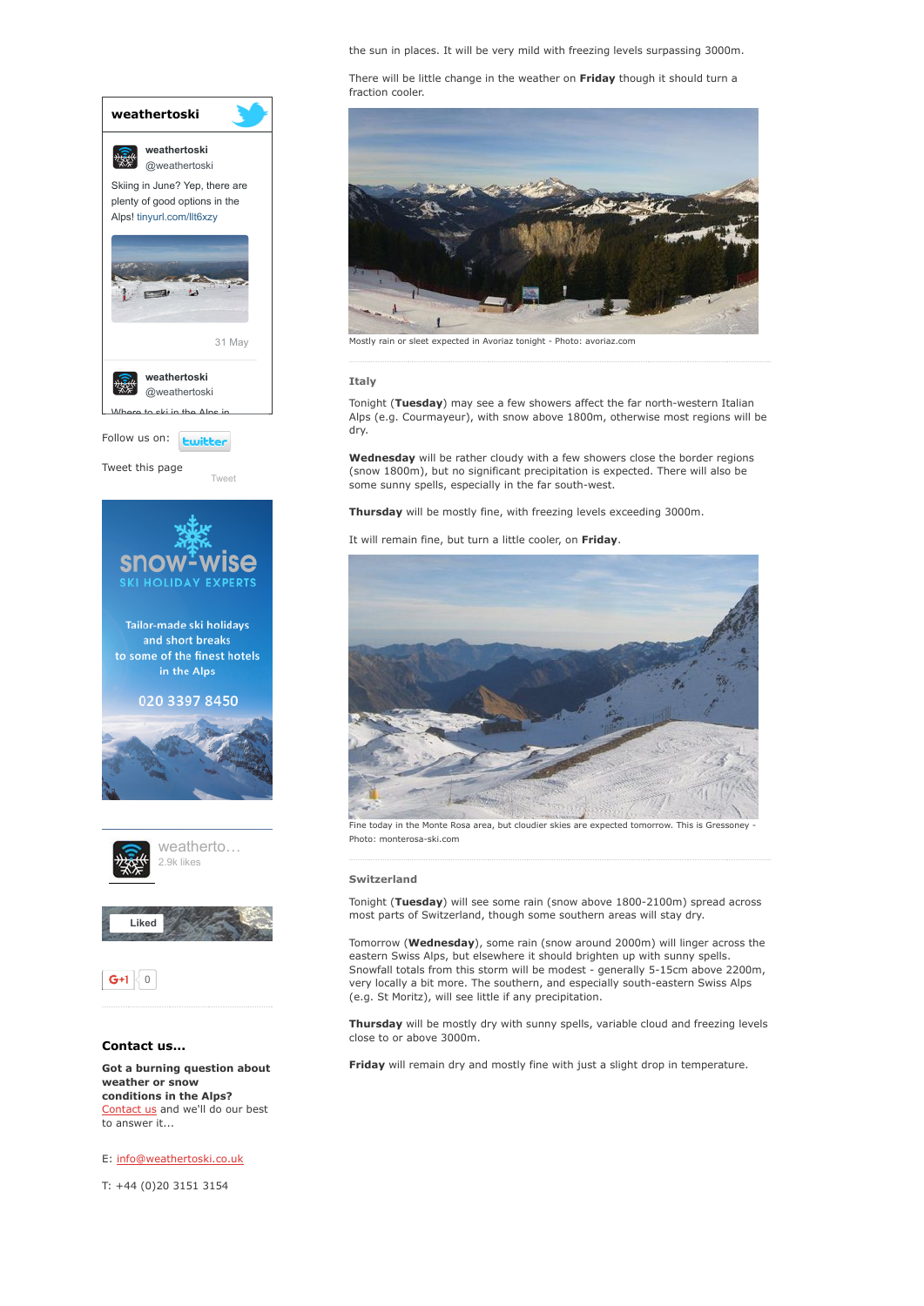the sun in places. It will be very mild with freezing levels surpassing 3000m.

There will be little change in the weather on Friday though it should turn a fraction cooler.



Mostly rain or sleet expected in Avoriaz tonight - Photo: avoriaz.com

## Italy

Tonight (Tuesday) may see a few showers affect the far north-western Italian Alps (e.g. Courmayeur), with snow above 1800m, otherwise most regions will be dry.

Wednesday will be rather cloudy with a few showers close the border regions (snow 1800m), but no significant precipitation is expected. There will also be some sunny spells, especially in the far south-west.

Thursday will be mostly fine, with freezing levels exceeding 3000m.

It will remain fine, but turn a little cooler, on Friday



Fine today in the Monte Rosa area, but cloudier skies are expected tomorrow. This is Gressoney Photo: monterosa-ski.com

#### Switzerland

Tonight (Tuesday) will see some rain (snow above 1800-2100m) spread across most parts of Switzerland, though some southern areas will stay dry.

Tomorrow (Wednesday), some rain (snow around 2000m) will linger across the eastern Swiss Alps, but elsewhere it should brighten up with sunny spells. Snowfall totals from this storm will be modest - generally 5-15cm above 2200m, very locally a bit more. The southern, and especially south-eastern Swiss Alps (e.g. St Moritz), will see little if any precipitation.

Thursday will be mostly dry with sunny spells, variable cloud and freezing levels close to or above 3000m.

Friday will remain dry and mostly fine with just a slight drop in temperature.









# Contact us...

Got a burning question about weather or snow conditions in the Alps? [Contact](http://www.weathertoski.co.uk/about-1/contact-us/) us and we'll do our best to answer it...

E: [info@weathertoski.co.uk](mailto:fraser@weathertoski.co.uk)

T: +44 (0)20 3151 3154